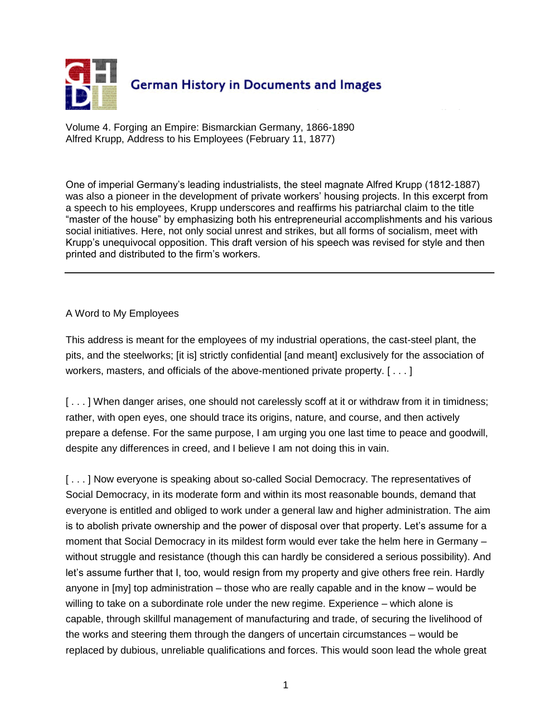

Volume 4. Forging an Empire: Bismarckian Germany, 1866-1890 Alfred Krupp, Address to his Employees (February 11, 1877)

One of imperial Germany's leading industrialists, the steel magnate Alfred Krupp (1812-1887) was also a pioneer in the development of private workers' housing projects. In this excerpt from a speech to his employees, Krupp underscores and reaffirms his patriarchal claim to the title "master of the house" by emphasizing both his entrepreneurial accomplishments and his various social initiatives. Here, not only social unrest and strikes, but all forms of socialism, meet with Krupp's unequivocal opposition. This draft version of his speech was revised for style and then printed and distributed to the firm's workers.

## A Word to My Employees

This address is meant for the employees of my industrial operations, the cast-steel plant, the pits, and the steelworks; [it is] strictly confidential [and meant] exclusively for the association of workers, masters, and officials of the above-mentioned private property. [ . . . ]

[...] When danger arises, one should not carelessly scoff at it or withdraw from it in timidness; rather, with open eyes, one should trace its origins, nature, and course, and then actively prepare a defense. For the same purpose, I am urging you one last time to peace and goodwill, despite any differences in creed, and I believe I am not doing this in vain.

[...] Now everyone is speaking about so-called Social Democracy. The representatives of Social Democracy, in its moderate form and within its most reasonable bounds, demand that everyone is entitled and obliged to work under a general law and higher administration. The aim is to abolish private ownership and the power of disposal over that property. Let's assume for a moment that Social Democracy in its mildest form would ever take the helm here in Germany – without struggle and resistance (though this can hardly be considered a serious possibility). And let's assume further that I, too, would resign from my property and give others free rein. Hardly anyone in  $[my]$  top administration – those who are really capable and in the know – would be willing to take on a subordinate role under the new regime. Experience – which alone is capable, through skillful management of manufacturing and trade, of securing the livelihood of the works and steering them through the dangers of uncertain circumstances – would be replaced by dubious, unreliable qualifications and forces. This would soon lead the whole great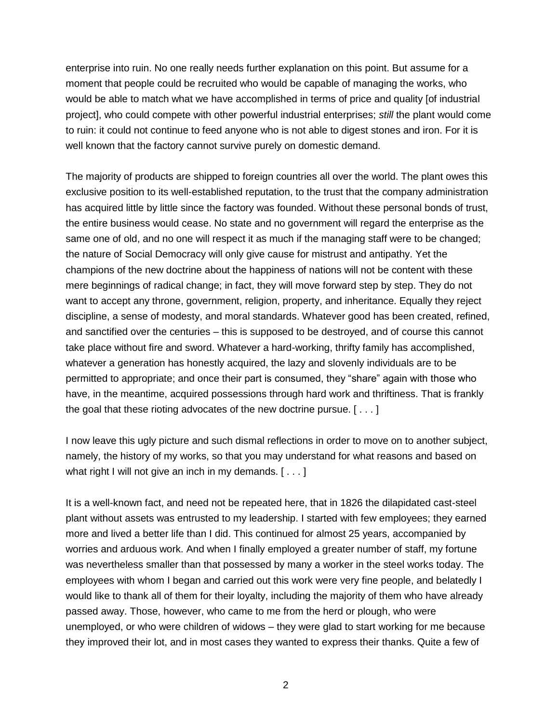enterprise into ruin. No one really needs further explanation on this point. But assume for a moment that people could be recruited who would be capable of managing the works, who would be able to match what we have accomplished in terms of price and quality [of industrial project], who could compete with other powerful industrial enterprises; *still* the plant would come to ruin: it could not continue to feed anyone who is not able to digest stones and iron. For it is well known that the factory cannot survive purely on domestic demand.

The majority of products are shipped to foreign countries all over the world. The plant owes this exclusive position to its well-established reputation, to the trust that the company administration has acquired little by little since the factory was founded. Without these personal bonds of trust, the entire business would cease. No state and no government will regard the enterprise as the same one of old, and no one will respect it as much if the managing staff were to be changed; the nature of Social Democracy will only give cause for mistrust and antipathy. Yet the champions of the new doctrine about the happiness of nations will not be content with these mere beginnings of radical change; in fact, they will move forward step by step. They do not want to accept any throne, government, religion, property, and inheritance. Equally they reject discipline, a sense of modesty, and moral standards. Whatever good has been created, refined, and sanctified over the centuries – this is supposed to be destroyed, and of course this cannot take place without fire and sword. Whatever a hard-working, thrifty family has accomplished, whatever a generation has honestly acquired, the lazy and slovenly individuals are to be permitted to appropriate; and once their part is consumed, they "share" again with those who have, in the meantime, acquired possessions through hard work and thriftiness. That is frankly the goal that these rioting advocates of the new doctrine pursue. [ . . . ]

I now leave this ugly picture and such dismal reflections in order to move on to another subject, namely, the history of my works, so that you may understand for what reasons and based on what right I will not give an inch in my demands. [ . . . ]

It is a well-known fact, and need not be repeated here, that in 1826 the dilapidated cast-steel plant without assets was entrusted to my leadership. I started with few employees; they earned more and lived a better life than I did. This continued for almost 25 years, accompanied by worries and arduous work. And when I finally employed a greater number of staff, my fortune was nevertheless smaller than that possessed by many a worker in the steel works today. The employees with whom I began and carried out this work were very fine people, and belatedly I would like to thank all of them for their loyalty, including the majority of them who have already passed away. Those, however, who came to me from the herd or plough, who were unemployed, or who were children of widows – they were glad to start working for me because they improved their lot, and in most cases they wanted to express their thanks. Quite a few of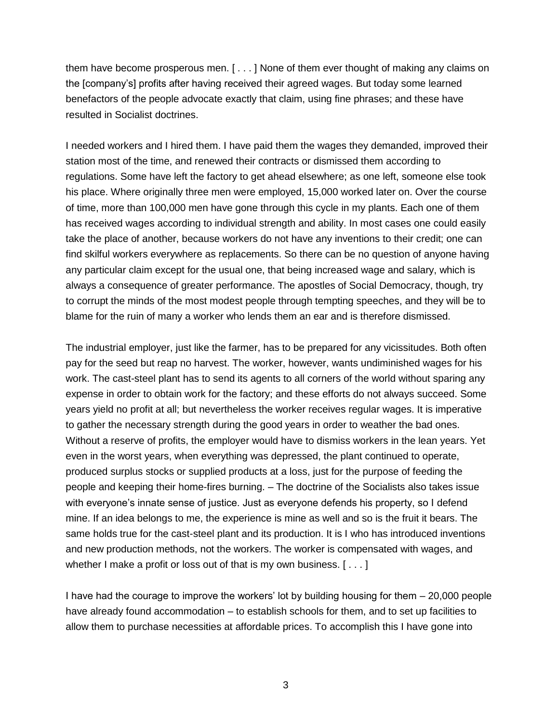them have become prosperous men. [ . . . ] None of them ever thought of making any claims on the [company's] profits after having received their agreed wages. But today some learned benefactors of the people advocate exactly that claim, using fine phrases; and these have resulted in Socialist doctrines.

I needed workers and I hired them. I have paid them the wages they demanded, improved their station most of the time, and renewed their contracts or dismissed them according to regulations. Some have left the factory to get ahead elsewhere; as one left, someone else took his place. Where originally three men were employed, 15,000 worked later on. Over the course of time, more than 100,000 men have gone through this cycle in my plants. Each one of them has received wages according to individual strength and ability. In most cases one could easily take the place of another, because workers do not have any inventions to their credit; one can find skilful workers everywhere as replacements. So there can be no question of anyone having any particular claim except for the usual one, that being increased wage and salary, which is always a consequence of greater performance. The apostles of Social Democracy, though, try to corrupt the minds of the most modest people through tempting speeches, and they will be to blame for the ruin of many a worker who lends them an ear and is therefore dismissed.

The industrial employer, just like the farmer, has to be prepared for any vicissitudes. Both often pay for the seed but reap no harvest. The worker, however, wants undiminished wages for his work. The cast-steel plant has to send its agents to all corners of the world without sparing any expense in order to obtain work for the factory; and these efforts do not always succeed. Some years yield no profit at all; but nevertheless the worker receives regular wages. It is imperative to gather the necessary strength during the good years in order to weather the bad ones. Without a reserve of profits, the employer would have to dismiss workers in the lean years. Yet even in the worst years, when everything was depressed, the plant continued to operate, produced surplus stocks or supplied products at a loss, just for the purpose of feeding the people and keeping their home-fires burning. – The doctrine of the Socialists also takes issue with everyone's innate sense of justice. Just as everyone defends his property, so I defend mine. If an idea belongs to me, the experience is mine as well and so is the fruit it bears. The same holds true for the cast-steel plant and its production. It is I who has introduced inventions and new production methods, not the workers. The worker is compensated with wages, and whether I make a profit or loss out of that is my own business. [...]

I have had the courage to improve the workers' lot by building housing for them – 20,000 people have already found accommodation – to establish schools for them, and to set up facilities to allow them to purchase necessities at affordable prices. To accomplish this I have gone into

3